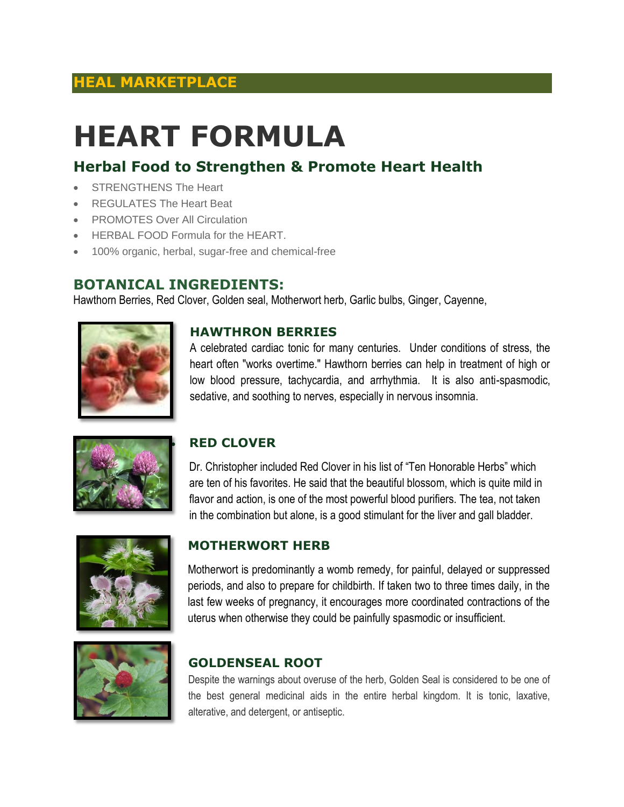## **HEAL MARKETPLACE**

# **HEART FORMULA**

### **Herbal Food to Strengthen & Promote Heart Health**

- STRENGTHENS The Heart
- REGULATES The Heart Beat
- PROMOTES Over All Circulation
- HERBAL FOOD Formula for the HEART.
- 100% organic, herbal, sugar-free and chemical-free

#### **BOTANICAL INGREDIENTS:**

Hawthorn Berries, Red Clover, Golden seal, Motherwort herb, Garlic bulbs, Ginger, Cayenne,



#### **HAWTHRON BERRIES**

A celebrated cardiac tonic for many centuries. Under conditions of stress, the heart often "works overtime." Hawthorn berries can help in treatment of high or low blood pressure, tachycardia, and arrhythmia. It is also anti-spasmodic, sedative, and soothing to nerves, especially in nervous insomnia.



#### **RED CLOVER**

Dr. Christopher included Red Clover in his list of "Ten Honorable Herbs" which are ten of his favorites. He said that the beautiful blossom, which is quite mild in flavor and action, is one of the most powerful blood purifiers. The tea, not taken in the combination but alone, is a good stimulant for the liver and gall bladder.



#### **MOTHERWORT HERB**

Motherwort is predominantly a womb remedy, for painful, delayed or suppressed periods, and also to prepare for childbirth. If taken two to three times daily, in the last few weeks of pregnancy, it encourages more coordinated contractions of the uterus when otherwise they could be painfully spasmodic or insufficient.



#### **GOLDENSEAL ROOT**

Despite the warnings about overuse of the herb, Golden Seal is considered to be one of the best general medicinal aids in the entire herbal kingdom. It is tonic, laxative, alterative, and detergent, or antiseptic.